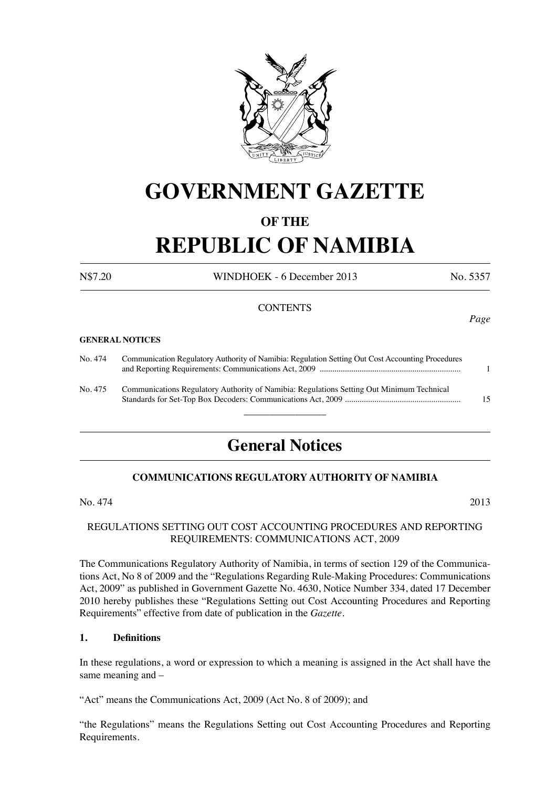

## **GOVERNMENT GAZETTE**

## **OF THE**

# **REPUBLIC OF NAMIBIA**

N\$7.20 WINDHOEK - 6 December 2013 No. 5357

*Page*

## **CONTENTS**

#### **GENERAL NOTICES**

| No. 474 | Communication Regulatory Authority of Namibia: Regulation Setting Out Cost Accounting Procedures |    |
|---------|--------------------------------------------------------------------------------------------------|----|
| No. 475 | Communications Regulatory Authority of Namibia: Regulations Setting Out Minimum Technical        | 15 |

 $\overline{\phantom{a}}$  , where  $\overline{\phantom{a}}$ 

## **General Notices**

## **COMMUNICATIONS REGULATORY AUTHORITY OF NAMIBIA**

 $\text{No. } 474$  2013

## REGULATIONS SETTING OUT COST ACCOUNTING PROCEDURES AND REPORTING REQUIREMENTS: COMMUNICATIONS ACT, 2009

The Communications Regulatory Authority of Namibia, in terms of section 129 of the Communications Act, No 8 of 2009 and the "Regulations Regarding Rule-Making Procedures: Communications Act, 2009" as published in Government Gazette No. 4630, Notice Number 334, dated 17 December 2010 hereby publishes these "Regulations Setting out Cost Accounting Procedures and Reporting Requirements" effective from date of publication in the *Gazette.*

## **1. Definitions**

In these regulations, a word or expression to which a meaning is assigned in the Act shall have the same meaning and –

"Act" means the Communications Act, 2009 (Act No. 8 of 2009); and

"the Regulations" means the Regulations Setting out Cost Accounting Procedures and Reporting Requirements.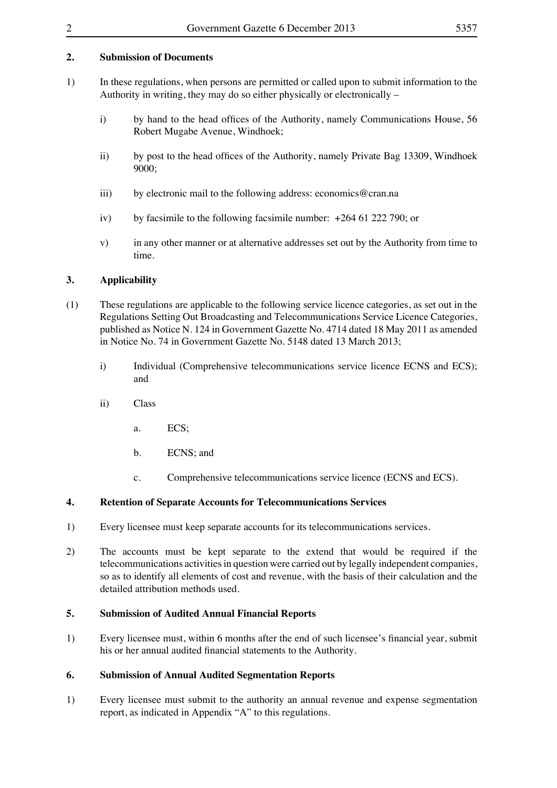## **2. Submission of Documents**

- 1) In these regulations, when persons are permitted or called upon to submit information to the Authority in writing, they may do so either physically or electronically –
	- i) by hand to the head offices of the Authority, namely Communications House, 56 Robert Mugabe Avenue, Windhoek;
	- ii) by post to the head offices of the Authority, namely Private Bag 13309, Windhoek 9000;
	- iii) by electronic mail to the following address: economics@cran.na
	- iv) by facsimile to the following facsimile number:  $+264\,61\,222\,790$ ; or
	- v) in any other manner or at alternative addresses set out by the Authority from time to time.

## **3. Applicability**

- (1) These regulations are applicable to the following service licence categories, as set out in the Regulations Setting Out Broadcasting and Telecommunications Service Licence Categories, published as Notice N. 124 in Government Gazette No. 4714 dated 18 May 2011 as amended in Notice No. 74 in Government Gazette No. 5148 dated 13 March 2013;
	- i) Individual (Comprehensive telecommunications service licence ECNS and ECS); and
	- ii) Class
		- a. ECS:
		- b. ECNS; and
		- c. Comprehensive telecommunications service licence (ECNS and ECS).

## **4. Retention of Separate Accounts for Telecommunications Services**

- 1) Every licensee must keep separate accounts for its telecommunications services.
- 2) The accounts must be kept separate to the extend that would be required if the telecommunications activities in question were carried out by legally independent companies, so as to identify all elements of cost and revenue, with the basis of their calculation and the detailed attribution methods used.

## **5. Submission of Audited Annual Financial Reports**

1) Every licensee must, within 6 months after the end of such licensee's financial year, submit his or her annual audited financial statements to the Authority.

## **6. Submission of Annual Audited Segmentation Reports**

1) Every licensee must submit to the authority an annual revenue and expense segmentation report, as indicated in Appendix "A" to this regulations.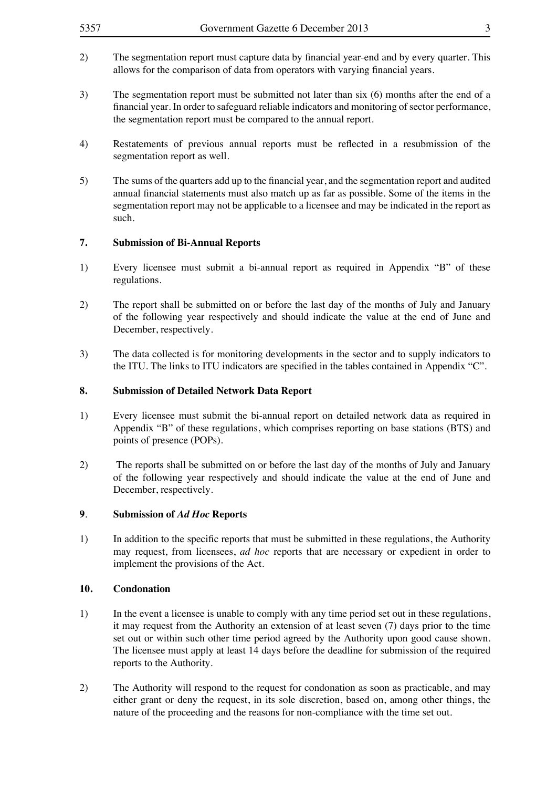- 2) The segmentation report must capture data by financial year-end and by every quarter. This allows for the comparison of data from operators with varying financial years.
- 3) The segmentation report must be submitted not later than six (6) months after the end of a financial year. In order to safeguard reliable indicators and monitoring of sector performance, the segmentation report must be compared to the annual report.
- 4) Restatements of previous annual reports must be reflected in a resubmission of the segmentation report as well.
- 5) The sums of the quarters add up to the financial year, and the segmentation report and audited annual financial statements must also match up as far as possible. Some of the items in the segmentation report may not be applicable to a licensee and may be indicated in the report as such.

## **7. Submission of Bi-Annual Reports**

- 1) Every licensee must submit a bi-annual report as required in Appendix "B" of these regulations.
- 2) The report shall be submitted on or before the last day of the months of July and January of the following year respectively and should indicate the value at the end of June and December, respectively.
- 3) The data collected is for monitoring developments in the sector and to supply indicators to the ITU. The links to ITU indicators are specified in the tables contained in Appendix "C".

## **8. Submission of Detailed Network Data Report**

- 1) Every licensee must submit the bi-annual report on detailed network data as required in Appendix "B" of these regulations, which comprises reporting on base stations (BTS) and points of presence (POPs).
- 2) The reports shall be submitted on or before the last day of the months of July and January of the following year respectively and should indicate the value at the end of June and December, respectively.

## **9**. **Submission of** *Ad Hoc* **Reports**

1) In addition to the specific reports that must be submitted in these regulations, the Authority may request, from licensees, *ad hoc* reports that are necessary or expedient in order to implement the provisions of the Act.

## **10. Condonation**

- 1) In the event a licensee is unable to comply with any time period set out in these regulations, it may request from the Authority an extension of at least seven (7) days prior to the time set out or within such other time period agreed by the Authority upon good cause shown. The licensee must apply at least 14 days before the deadline for submission of the required reports to the Authority.
- 2) The Authority will respond to the request for condonation as soon as practicable, and may either grant or deny the request, in its sole discretion, based on, among other things, the nature of the proceeding and the reasons for non-compliance with the time set out.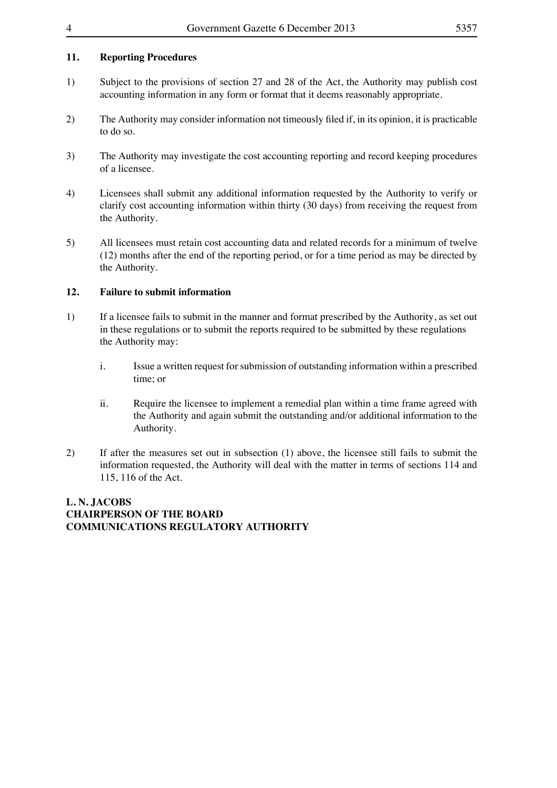## **11. Reporting Procedures**

- 1) Subject to the provisions of section 27 and 28 of the Act, the Authority may publish cost accounting information in any form or format that it deems reasonably appropriate.
- 2) The Authority may consider information not timeously filed if, in its opinion, it is practicable to do so.
- 3) The Authority may investigate the cost accounting reporting and record keeping procedures of a licensee.
- 4) Licensees shall submit any additional information requested by the Authority to verify or clarify cost accounting information within thirty (30 days) from receiving the request from the Authority.
- 5) All licensees must retain cost accounting data and related records for a minimum of twelve (12) months after the end of the reporting period, or for a time period as may be directed by the Authority.

## **12. Failure to submit information**

- 1) If a licensee fails to submit in the manner and format prescribed by the Authority, as set out in these regulations or to submit the reports required to be submitted by these regulations the Authority may:
	- i. Issue a written request for submission of outstanding information within a prescribed time; or
	- ii. Require the licensee to implement a remedial plan within a time frame agreed with the Authority and again submit the outstanding and/or additional information to the Authority.
- 2) If after the measures set out in subsection (1) above, the licensee still fails to submit the information requested, the Authority will deal with the matter in terms of sections 114 and 115, 116 of the Act.

## **L. N. JACOBS CHAIRPERSON OF THE BOARD COMMUNICATIONS REGULATORY AUTHORITY**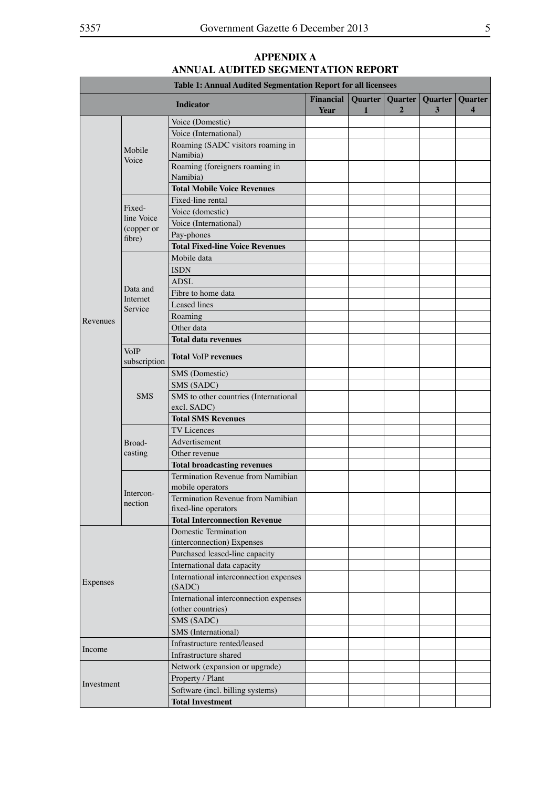|            |                          | Table 1: Annual Audited Segmentation Report for all licensees |                                 |                         |                           |                     |                                    |
|------------|--------------------------|---------------------------------------------------------------|---------------------------------|-------------------------|---------------------------|---------------------|------------------------------------|
|            |                          | <b>Indicator</b>                                              | <b>Financial</b><br><b>Year</b> | Quarter<br>$\mathbf{1}$ | Quarter<br>$\overline{2}$ | <b>Quarter</b><br>3 | Quarter<br>$\overline{\mathbf{4}}$ |
|            |                          | Voice (Domestic)                                              |                                 |                         |                           |                     |                                    |
|            |                          | Voice (International)                                         |                                 |                         |                           |                     |                                    |
|            | Mobile<br>Voice          | Roaming (SADC visitors roaming in<br>Namibia)                 |                                 |                         |                           |                     |                                    |
|            |                          | Roaming (foreigners roaming in<br>Namibia)                    |                                 |                         |                           |                     |                                    |
|            |                          | <b>Total Mobile Voice Revenues</b>                            |                                 |                         |                           |                     |                                    |
|            |                          | Fixed-line rental                                             |                                 |                         |                           |                     |                                    |
|            | Fixed-                   | Voice (domestic)                                              |                                 |                         |                           |                     |                                    |
|            | line Voice<br>(copper or | Voice (International)                                         |                                 |                         |                           |                     |                                    |
|            | fibre)                   | Pay-phones                                                    |                                 |                         |                           |                     |                                    |
|            |                          | <b>Total Fixed-line Voice Revenues</b>                        |                                 |                         |                           |                     |                                    |
|            |                          | Mobile data                                                   |                                 |                         |                           |                     |                                    |
|            |                          | <b>ISDN</b>                                                   |                                 |                         |                           |                     |                                    |
|            |                          | ADSL                                                          |                                 |                         |                           |                     |                                    |
|            | Data and                 | Fibre to home data                                            |                                 |                         |                           |                     |                                    |
|            | Internet<br>Service      | <b>Leased</b> lines                                           |                                 |                         |                           |                     |                                    |
|            |                          | Roaming                                                       |                                 |                         |                           |                     |                                    |
| Revenues   |                          | Other data                                                    |                                 |                         |                           |                     |                                    |
|            |                          | <b>Total data revenues</b>                                    |                                 |                         |                           |                     |                                    |
|            | VoIP<br>subscription     | <b>Total VoIP revenues</b>                                    |                                 |                         |                           |                     |                                    |
|            |                          | SMS (Domestic)                                                |                                 |                         |                           |                     |                                    |
|            |                          | SMS (SADC)                                                    |                                 |                         |                           |                     |                                    |
|            | <b>SMS</b>               | SMS to other countries (International<br>excl. SADC)          |                                 |                         |                           |                     |                                    |
|            |                          | <b>Total SMS Revenues</b>                                     |                                 |                         |                           |                     |                                    |
|            | Broad-<br>casting        | <b>TV</b> Licences                                            |                                 |                         |                           |                     |                                    |
|            |                          | Advertisement                                                 |                                 |                         |                           |                     |                                    |
|            |                          | Other revenue                                                 |                                 |                         |                           |                     |                                    |
|            |                          | <b>Total broadcasting revenues</b>                            |                                 |                         |                           |                     |                                    |
|            |                          | Termination Revenue from Namibian<br>mobile operators         |                                 |                         |                           |                     |                                    |
|            | Intercon-<br>nection     | Termination Revenue from Namibian<br>fixed-line operators     |                                 |                         |                           |                     |                                    |
|            |                          | <b>Total Interconnection Revenue</b>                          |                                 |                         |                           |                     |                                    |
|            |                          | Domestic Termination<br>(interconnection) Expenses            |                                 |                         |                           |                     |                                    |
|            |                          | Purchased leased-line capacity                                |                                 |                         |                           |                     |                                    |
|            |                          | International data capacity                                   |                                 |                         |                           |                     |                                    |
| Expenses   |                          | International interconnection expenses<br>(SADC)              |                                 |                         |                           |                     |                                    |
|            |                          | International interconnection expenses<br>(other countries)   |                                 |                         |                           |                     |                                    |
|            |                          | SMS (SADC)                                                    |                                 |                         |                           |                     |                                    |
|            |                          | SMS (International)                                           |                                 |                         |                           |                     |                                    |
|            |                          | Infrastructure rented/leased                                  |                                 |                         |                           |                     |                                    |
| Income     |                          | Infrastructure shared                                         |                                 |                         |                           |                     |                                    |
|            |                          | Network (expansion or upgrade)                                |                                 |                         |                           |                     |                                    |
|            |                          | Property / Plant                                              |                                 |                         |                           |                     |                                    |
| Investment |                          | Software (incl. billing systems)                              |                                 |                         |                           |                     |                                    |
|            |                          | <b>Total Investment</b>                                       |                                 |                         |                           |                     |                                    |

## **APPENDIX A ANNUAL AUDITED SEGMENTATION REPORT**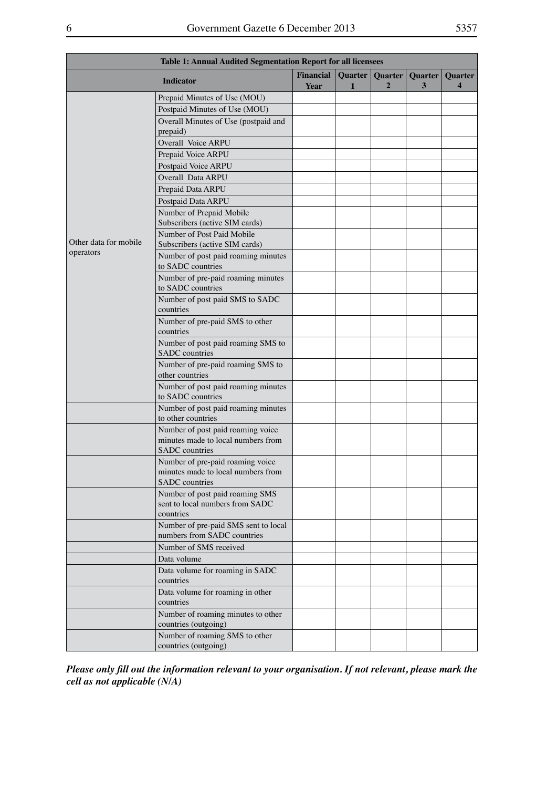| Table 1: Annual Audited Segmentation Report for all licensees |                                                                                                  |                          |                         |                           |              |                                           |
|---------------------------------------------------------------|--------------------------------------------------------------------------------------------------|--------------------------|-------------------------|---------------------------|--------------|-------------------------------------------|
|                                                               | <b>Indicator</b>                                                                                 | <b>Financial</b><br>Year | Quarter<br>$\mathbf{1}$ | Quarter<br>$\overline{2}$ | Quarter<br>3 | <b>Quarter</b><br>$\overline{\mathbf{4}}$ |
|                                                               | Prepaid Minutes of Use (MOU)                                                                     |                          |                         |                           |              |                                           |
|                                                               | Postpaid Minutes of Use (MOU)                                                                    |                          |                         |                           |              |                                           |
|                                                               | Overall Minutes of Use (postpaid and                                                             |                          |                         |                           |              |                                           |
|                                                               | prepaid)                                                                                         |                          |                         |                           |              |                                           |
|                                                               | Overall Voice ARPU                                                                               |                          |                         |                           |              |                                           |
|                                                               | Prepaid Voice ARPU                                                                               |                          |                         |                           |              |                                           |
|                                                               | Postpaid Voice ARPU                                                                              |                          |                         |                           |              |                                           |
|                                                               | Overall Data ARPU                                                                                |                          |                         |                           |              |                                           |
|                                                               | Prepaid Data ARPU                                                                                |                          |                         |                           |              |                                           |
|                                                               | Postpaid Data ARPU                                                                               |                          |                         |                           |              |                                           |
|                                                               | Number of Prepaid Mobile<br>Subscribers (active SIM cards)                                       |                          |                         |                           |              |                                           |
| Other data for mobile                                         | Number of Post Paid Mobile<br>Subscribers (active SIM cards)                                     |                          |                         |                           |              |                                           |
| operators                                                     | Number of post paid roaming minutes<br>to SADC countries                                         |                          |                         |                           |              |                                           |
|                                                               | Number of pre-paid roaming minutes<br>to SADC countries                                          |                          |                         |                           |              |                                           |
|                                                               | Number of post paid SMS to SADC<br>countries                                                     |                          |                         |                           |              |                                           |
|                                                               | Number of pre-paid SMS to other<br>countries                                                     |                          |                         |                           |              |                                           |
|                                                               | Number of post paid roaming SMS to<br>SADC countries                                             |                          |                         |                           |              |                                           |
|                                                               | Number of pre-paid roaming SMS to<br>other countries                                             |                          |                         |                           |              |                                           |
|                                                               | Number of post paid roaming minutes<br>to SADC countries                                         |                          |                         |                           |              |                                           |
|                                                               | Number of post paid roaming minutes<br>to other countries                                        |                          |                         |                           |              |                                           |
|                                                               | Number of post paid roaming voice<br>minutes made to local numbers from<br><b>SADC</b> countries |                          |                         |                           |              |                                           |
|                                                               | Number of pre-paid roaming voice<br>minutes made to local numbers from<br><b>SADC</b> countries  |                          |                         |                           |              |                                           |
|                                                               | Number of post paid roaming SMS<br>sent to local numbers from SADC<br>countries                  |                          |                         |                           |              |                                           |
|                                                               | Number of pre-paid SMS sent to local<br>numbers from SADC countries                              |                          |                         |                           |              |                                           |
|                                                               | Number of SMS received                                                                           |                          |                         |                           |              |                                           |
|                                                               | Data volume                                                                                      |                          |                         |                           |              |                                           |
|                                                               | Data volume for roaming in SADC<br>countries                                                     |                          |                         |                           |              |                                           |
|                                                               | Data volume for roaming in other<br>countries                                                    |                          |                         |                           |              |                                           |
|                                                               | Number of roaming minutes to other<br>countries (outgoing)                                       |                          |                         |                           |              |                                           |
|                                                               | Number of roaming SMS to other<br>countries (outgoing)                                           |                          |                         |                           |              |                                           |

*Please only fill out the information relevant to your organisation. If not relevant, please mark the cell as not applicable (N/A)*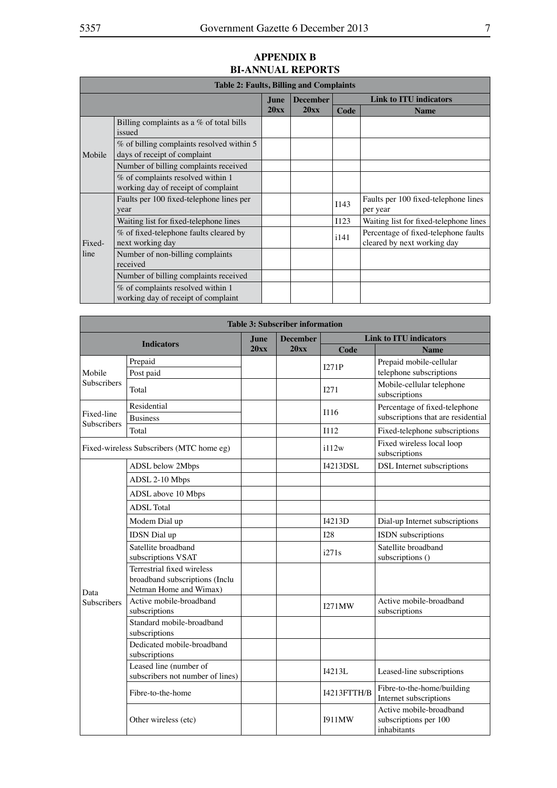#### **Table 2: Faults, Billing and Complaints June 20xx December 20xx Link to ITU indicators Code Name** Mobile Billing complaints as a % of total bills issued % of billing complaints resolved within 5 days of receipt of complaint Number of billing complaints received % of complaints resolved within 1 working day of receipt of complaint Fixedline Faults per 100 fixed-telephone lines per year I143 Faults per <sup>100</sup> fixed-telephone lines per year Waiting list for fixed-telephone lines  $\vert$  1123 Waiting list for fixed-telephone lines % of fixed-telephone faults cleared by<br>next working day % of fixed-telephone faults cleared by<br>
next working day<br>
leared by next working day<br>
leared by next working day Number of non-billing complaints received Number of billing complaints received % of complaints resolved within 1 working day of receipt of complaint

| <b>Table 3: Subscriber information</b> |                                                                                        |      |                 |               |                                                                     |  |  |
|----------------------------------------|----------------------------------------------------------------------------------------|------|-----------------|---------------|---------------------------------------------------------------------|--|--|
|                                        | <b>Indicators</b>                                                                      | June | <b>December</b> |               | <b>Link to ITU indicators</b>                                       |  |  |
|                                        |                                                                                        | 20xx | 20xx            | Code          | <b>Name</b>                                                         |  |  |
| Mobile                                 | Prepaid<br>Post paid                                                                   |      |                 | I271P         | Prepaid mobile-cellular<br>telephone subscriptions                  |  |  |
| <b>Subscribers</b>                     | Total                                                                                  |      |                 | I271          | Mobile-cellular telephone<br>subscriptions                          |  |  |
| Fixed-line                             | Residential<br><b>Business</b>                                                         |      |                 | I116          | Percentage of fixed-telephone<br>subscriptions that are residential |  |  |
| <b>Subscribers</b>                     | Total                                                                                  |      |                 | <b>I112</b>   | Fixed-telephone subscriptions                                       |  |  |
|                                        | Fixed-wireless Subscribers (MTC home eg)                                               |      |                 | i112w         | Fixed wireless local loop<br>subscriptions                          |  |  |
|                                        | ADSL below 2Mbps                                                                       |      |                 | I4213DSL      | DSL Internet subscriptions                                          |  |  |
|                                        | ADSL 2-10 Mbps                                                                         |      |                 |               |                                                                     |  |  |
|                                        | ADSL above 10 Mbps                                                                     |      |                 |               |                                                                     |  |  |
|                                        | <b>ADSL</b> Total                                                                      |      |                 |               |                                                                     |  |  |
|                                        | Modem Dial up                                                                          |      |                 | I4213D        | Dial-up Internet subscriptions                                      |  |  |
|                                        | IDSN Dial up                                                                           |      |                 | I28           | ISDN subscriptions                                                  |  |  |
|                                        | Satellite broadband<br>subscriptions VSAT                                              |      |                 | i271s         | Satellite broadband<br>subscriptions ()                             |  |  |
| Data                                   | Terrestrial fixed wireless<br>broadband subscriptions (Inclu<br>Netman Home and Wimax) |      |                 |               |                                                                     |  |  |
| Subscribers                            | Active mobile-broadband<br>subscriptions                                               |      |                 | <b>I271MW</b> | Active mobile-broadband<br>subscriptions                            |  |  |
|                                        | Standard mobile-broadband<br>subscriptions                                             |      |                 |               |                                                                     |  |  |
|                                        | Dedicated mobile-broadband<br>subscriptions                                            |      |                 |               |                                                                     |  |  |
|                                        | Leased line (number of<br>subscribers not number of lines)                             |      |                 | I4213L        | Leased-line subscriptions                                           |  |  |
|                                        | Fibre-to-the-home                                                                      |      |                 | I4213FTTH/B   | Fibre-to-the-home/building<br>Internet subscriptions                |  |  |
|                                        | Other wireless (etc)                                                                   |      |                 | 1911MW        | Active mobile-broadband<br>subscriptions per 100<br>inhabitants     |  |  |

## **APPENDIX B BI-ANNUAL REPORTS**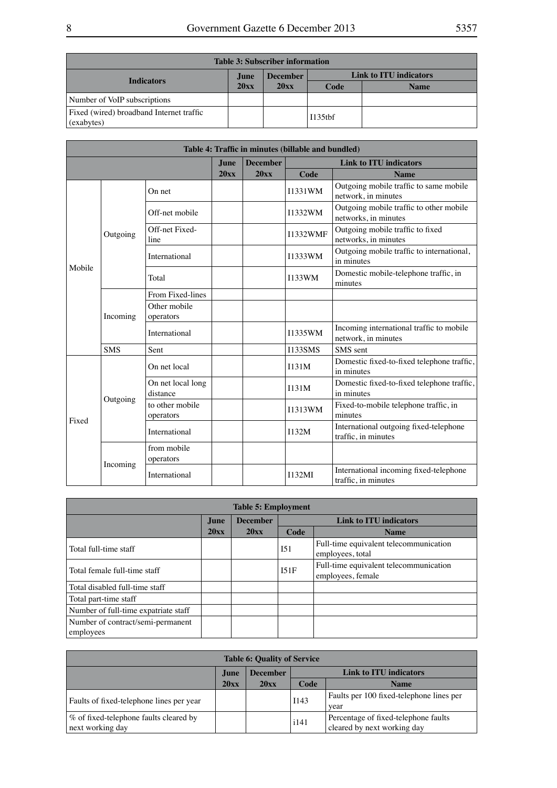| <b>Table 3: Subscriber information</b>                 |       |                 |                        |             |  |  |  |  |  |  |
|--------------------------------------------------------|-------|-----------------|------------------------|-------------|--|--|--|--|--|--|
| <b>Indicators</b>                                      | June. | <b>December</b> | Link to ITU indicators |             |  |  |  |  |  |  |
|                                                        | 20xx  | 20xx            | Code                   | <b>Name</b> |  |  |  |  |  |  |
| Number of VoIP subscriptions                           |       |                 |                        |             |  |  |  |  |  |  |
| Fixed (wired) broadband Internet traffic<br>(exabytes) |       |                 | $I135$ thf             |             |  |  |  |  |  |  |

| Table 4: Traffic in minutes (billable and bundled) |            |                               |             |                 |                 |                                                                 |  |  |
|----------------------------------------------------|------------|-------------------------------|-------------|-----------------|-----------------|-----------------------------------------------------------------|--|--|
|                                                    |            |                               | <b>June</b> | <b>December</b> |                 | <b>Link to ITU indicators</b>                                   |  |  |
|                                                    |            |                               | 20xx        | 20xx            | Code            | <b>Name</b>                                                     |  |  |
|                                                    |            | On net                        |             |                 | I1331WM         | Outgoing mobile traffic to same mobile<br>network, in minutes   |  |  |
|                                                    |            | Off-net mobile                |             |                 | I1332WM         | Outgoing mobile traffic to other mobile<br>networks, in minutes |  |  |
|                                                    | Outgoing   | Off-net Fixed-<br>line        |             |                 | <b>I1332WMF</b> | Outgoing mobile traffic to fixed<br>networks, in minutes        |  |  |
|                                                    |            | International                 |             |                 | <b>I1333WM</b>  | Outgoing mobile traffic to international,<br>in minutes         |  |  |
| Mobile                                             |            | Total                         |             |                 | I133WM          | Domestic mobile-telephone traffic, in<br>minutes                |  |  |
|                                                    | Incoming   | From Fixed-lines              |             |                 |                 |                                                                 |  |  |
|                                                    |            | Other mobile<br>operators     |             |                 |                 |                                                                 |  |  |
|                                                    |            | International                 |             |                 | <b>I1335WM</b>  | Incoming international traffic to mobile<br>network, in minutes |  |  |
|                                                    | <b>SMS</b> | Sent                          |             |                 | <b>I133SMS</b>  | SMS sent                                                        |  |  |
|                                                    |            | On net local                  |             |                 | I131M           | Domestic fixed-to-fixed telephone traffic,<br>in minutes        |  |  |
|                                                    |            | On net local long<br>distance |             |                 | I131M           | Domestic fixed-to-fixed telephone traffic,<br>in minutes        |  |  |
| Fixed                                              | Outgoing   | to other mobile<br>operators  |             |                 | <b>I1313WM</b>  | Fixed-to-mobile telephone traffic, in<br>minutes                |  |  |
|                                                    |            | International                 |             |                 | I132M           | International outgoing fixed-telephone<br>traffic, in minutes   |  |  |
|                                                    |            | from mobile<br>operators      |             |                 |                 |                                                                 |  |  |
|                                                    | Incoming   | International                 |             |                 | I132MI          | International incoming fixed-telephone<br>traffic, in minutes   |  |  |

| <b>Table 5: Employment</b>                     |      |                 |      |                                                             |  |  |  |  |  |  |
|------------------------------------------------|------|-----------------|------|-------------------------------------------------------------|--|--|--|--|--|--|
|                                                | June | <b>December</b> |      | Link to ITU indicators                                      |  |  |  |  |  |  |
|                                                | 20xx | 20xx            | Code | <b>Name</b>                                                 |  |  |  |  |  |  |
| Total full-time staff                          |      |                 | I51  | Full-time equivalent telecommunication<br>employees, total  |  |  |  |  |  |  |
| Total female full-time staff                   |      |                 | I51F | Full-time equivalent telecommunication<br>employees, female |  |  |  |  |  |  |
| Total disabled full-time staff                 |      |                 |      |                                                             |  |  |  |  |  |  |
| Total part-time staff                          |      |                 |      |                                                             |  |  |  |  |  |  |
| Number of full-time expatriate staff           |      |                 |      |                                                             |  |  |  |  |  |  |
| Number of contract/semi-permanent<br>employees |      |                 |      |                                                             |  |  |  |  |  |  |

| <b>Table 6: Quality of Service</b>                         |       |                 |                               |                                                                     |  |  |  |  |  |
|------------------------------------------------------------|-------|-----------------|-------------------------------|---------------------------------------------------------------------|--|--|--|--|--|
|                                                            | June. | <b>December</b> | <b>Link to ITU indicators</b> |                                                                     |  |  |  |  |  |
|                                                            | 20xx  | 20xx            | Code                          | <b>Name</b>                                                         |  |  |  |  |  |
| Faults of fixed-telephone lines per year                   |       |                 | I143                          | Faults per 100 fixed-telephone lines per<br>vear                    |  |  |  |  |  |
| % of fixed-telephone faults cleared by<br>next working day |       |                 | i141                          | Percentage of fixed-telephone faults<br>cleared by next working day |  |  |  |  |  |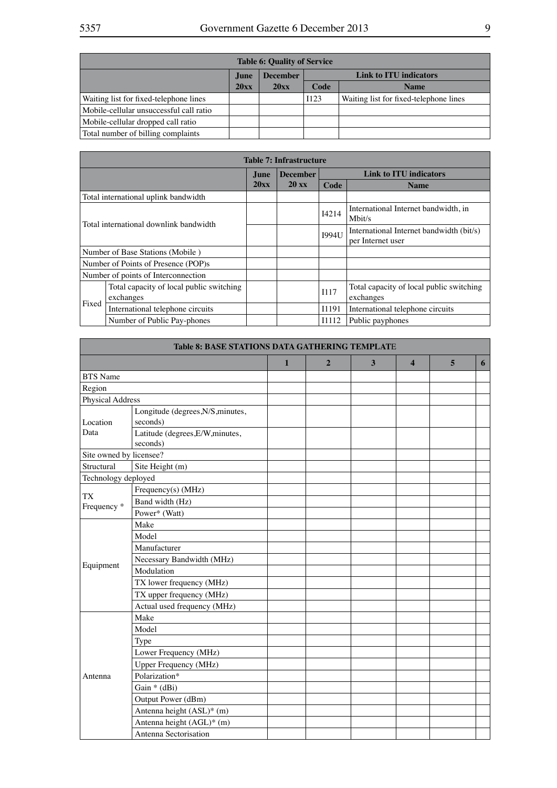| <b>Table 6: Quality of Service</b>      |       |                 |                               |                                        |  |  |  |  |  |
|-----------------------------------------|-------|-----------------|-------------------------------|----------------------------------------|--|--|--|--|--|
|                                         | June. | <b>December</b> | <b>Link to ITU indicators</b> |                                        |  |  |  |  |  |
|                                         | 20xx  | 20xx            | Code                          | <b>Name</b>                            |  |  |  |  |  |
| Waiting list for fixed-telephone lines  |       |                 | I123                          | Waiting list for fixed-telephone lines |  |  |  |  |  |
| Mobile-cellular unsuccessful call ratio |       |                 |                               |                                        |  |  |  |  |  |
| Mobile-cellular dropped call ratio      |       |                 |                               |                                        |  |  |  |  |  |
| Total number of billing complaints      |       |                 |                               |                                        |  |  |  |  |  |

|                                        | <b>Table 7: Infrastructure</b>                        |      |                 |              |                                                               |  |  |  |  |
|----------------------------------------|-------------------------------------------------------|------|-----------------|--------------|---------------------------------------------------------------|--|--|--|--|
|                                        |                                                       | June | <b>December</b> |              | <b>Link to ITU indicators</b>                                 |  |  |  |  |
|                                        |                                                       | 20xx | $20 \text{ xx}$ | Code         | <b>Name</b>                                                   |  |  |  |  |
|                                        | Total international uplink bandwidth                  |      |                 |              |                                                               |  |  |  |  |
| Total international downlink bandwidth |                                                       |      |                 | I4214        | International Internet bandwidth, in<br>Mbit/s                |  |  |  |  |
|                                        |                                                       |      |                 | <b>1994U</b> | International Internet bandwidth (bit/s)<br>per Internet user |  |  |  |  |
|                                        | Number of Base Stations (Mobile)                      |      |                 |              |                                                               |  |  |  |  |
|                                        | Number of Points of Presence (POP)s                   |      |                 |              |                                                               |  |  |  |  |
|                                        | Number of points of Interconnection                   |      |                 |              |                                                               |  |  |  |  |
|                                        | Total capacity of local public switching<br>exchanges |      |                 | <b>I117</b>  | Total capacity of local public switching<br>exchanges         |  |  |  |  |
| Fixed                                  | International telephone circuits                      |      |                 | I1191        | International telephone circuits                              |  |  |  |  |
|                                        | Number of Public Pay-phones                           |      |                 | I1112        | Public payphones                                              |  |  |  |  |

| <b>Table 8: BASE STATIONS DATA GATHERING TEMPLATE</b> |                                               |              |                |   |                         |   |   |
|-------------------------------------------------------|-----------------------------------------------|--------------|----------------|---|-------------------------|---|---|
|                                                       |                                               | $\mathbf{1}$ | $\overline{2}$ | 3 | $\overline{\mathbf{4}}$ | 5 | 6 |
| <b>BTS</b> Name                                       |                                               |              |                |   |                         |   |   |
| Region                                                |                                               |              |                |   |                         |   |   |
| <b>Physical Address</b>                               |                                               |              |                |   |                         |   |   |
| Location                                              | Longitude (degrees, N/S, minutes,<br>seconds) |              |                |   |                         |   |   |
| Data                                                  | Latitude (degrees, E/W, minutes,<br>seconds)  |              |                |   |                         |   |   |
| Site owned by licensee?                               |                                               |              |                |   |                         |   |   |
| Structural                                            | Site Height (m)                               |              |                |   |                         |   |   |
| Technology deployed                                   |                                               |              |                |   |                         |   |   |
|                                                       | Frequency(s) (MHz)                            |              |                |   |                         |   |   |
| <b>TX</b><br>Frequency <sup>*</sup>                   | Band width (Hz)                               |              |                |   |                         |   |   |
|                                                       | Power* (Watt)                                 |              |                |   |                         |   |   |
|                                                       | Make                                          |              |                |   |                         |   |   |
|                                                       | Model                                         |              |                |   |                         |   |   |
|                                                       | Manufacturer                                  |              |                |   |                         |   |   |
| Equipment                                             | Necessary Bandwidth (MHz)                     |              |                |   |                         |   |   |
|                                                       | Modulation                                    |              |                |   |                         |   |   |
|                                                       | TX lower frequency (MHz)                      |              |                |   |                         |   |   |
|                                                       | TX upper frequency (MHz)                      |              |                |   |                         |   |   |
|                                                       | Actual used frequency (MHz)                   |              |                |   |                         |   |   |
|                                                       | Make                                          |              |                |   |                         |   |   |
|                                                       | Model                                         |              |                |   |                         |   |   |
|                                                       | Type                                          |              |                |   |                         |   |   |
|                                                       | Lower Frequency (MHz)                         |              |                |   |                         |   |   |
|                                                       | <b>Upper Frequency (MHz)</b>                  |              |                |   |                         |   |   |
| Antenna                                               | Polarization*                                 |              |                |   |                         |   |   |
|                                                       | Gain * (dBi)                                  |              |                |   |                         |   |   |
|                                                       | Output Power (dBm)                            |              |                |   |                         |   |   |
|                                                       | Antenna height (ASL)* (m)                     |              |                |   |                         |   |   |
|                                                       | Antenna height (AGL)* (m)                     |              |                |   |                         |   |   |
|                                                       | Antenna Sectorisation                         |              |                |   |                         |   |   |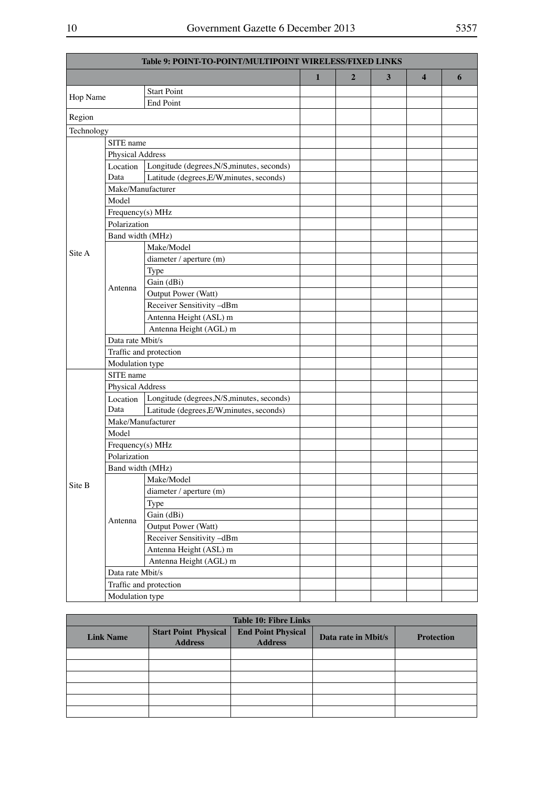| Table 9: POINT-TO-POINT/MULTIPOINT WIRELESS/FIXED LINKS |                        |                                            |              |                |   |                         |   |
|---------------------------------------------------------|------------------------|--------------------------------------------|--------------|----------------|---|-------------------------|---|
|                                                         |                        |                                            | $\mathbf{1}$ | $\overline{2}$ | 3 | $\overline{\mathbf{4}}$ | 6 |
|                                                         |                        | <b>Start Point</b>                         |              |                |   |                         |   |
| Hop Name                                                |                        | <b>End Point</b>                           |              |                |   |                         |   |
| Region                                                  |                        |                                            |              |                |   |                         |   |
| Technology                                              |                        |                                            |              |                |   |                         |   |
|                                                         | SITE name              |                                            |              |                |   |                         |   |
|                                                         | Physical Address       |                                            |              |                |   |                         |   |
|                                                         | Location               | Longitude (degrees, N/S, minutes, seconds) |              |                |   |                         |   |
|                                                         | Data                   | Latitude (degrees, E/W, minutes, seconds)  |              |                |   |                         |   |
|                                                         | Make/Manufacturer      |                                            |              |                |   |                         |   |
|                                                         | Model                  |                                            |              |                |   |                         |   |
|                                                         | Frequency(s) MHz       |                                            |              |                |   |                         |   |
|                                                         | Polarization           |                                            |              |                |   |                         |   |
|                                                         | Band width (MHz)       |                                            |              |                |   |                         |   |
| Site A                                                  |                        | Make/Model                                 |              |                |   |                         |   |
|                                                         |                        | diameter / aperture (m)                    |              |                |   |                         |   |
|                                                         |                        | Type                                       |              |                |   |                         |   |
|                                                         |                        | Gain (dBi)                                 |              |                |   |                         |   |
|                                                         | Antenna                | Output Power (Watt)                        |              |                |   |                         |   |
|                                                         |                        | Receiver Sensitivity -dBm                  |              |                |   |                         |   |
|                                                         |                        | Antenna Height (ASL) m                     |              |                |   |                         |   |
|                                                         |                        | Antenna Height (AGL) m                     |              |                |   |                         |   |
|                                                         | Data rate Mbit/s       |                                            |              |                |   |                         |   |
|                                                         | Traffic and protection |                                            |              |                |   |                         |   |
|                                                         | Modulation type        |                                            |              |                |   |                         |   |
|                                                         | SITE name              |                                            |              |                |   |                         |   |
|                                                         | Physical Address       |                                            |              |                |   |                         |   |
|                                                         | Location               | Longitude (degrees, N/S, minutes, seconds) |              |                |   |                         |   |
|                                                         | Data                   | Latitude (degrees, E/W, minutes, seconds)  |              |                |   |                         |   |
|                                                         | Make/Manufacturer      |                                            |              |                |   |                         |   |
|                                                         | Model                  |                                            |              |                |   |                         |   |
|                                                         | Frequency(s) MHz       |                                            |              |                |   |                         |   |
|                                                         | Polarization           |                                            |              |                |   |                         |   |
|                                                         | Band width (MHz)       |                                            |              |                |   |                         |   |
|                                                         |                        | Make/Model                                 |              |                |   |                         |   |
| Site B                                                  |                        | diameter / aperture (m)                    |              |                |   |                         |   |
|                                                         |                        | Type                                       |              |                |   |                         |   |
|                                                         |                        | Gain (dBi)                                 |              |                |   |                         |   |
|                                                         | Antenna                | Output Power (Watt)                        |              |                |   |                         |   |
|                                                         |                        | Receiver Sensitivity -dBm                  |              |                |   |                         |   |
|                                                         |                        | Antenna Height (ASL) m                     |              |                |   |                         |   |
|                                                         |                        | Antenna Height (AGL) m                     |              |                |   |                         |   |
|                                                         | Data rate Mbit/s       |                                            |              |                |   |                         |   |
|                                                         |                        | Traffic and protection                     |              |                |   |                         |   |
|                                                         | Modulation type        |                                            |              |                |   |                         |   |

| <b>Table 10: Fibre Links</b> |                                               |                                             |                     |                   |
|------------------------------|-----------------------------------------------|---------------------------------------------|---------------------|-------------------|
| <b>Link Name</b>             | <b>Start Point Physical</b><br><b>Address</b> | <b>End Point Physical</b><br><b>Address</b> | Data rate in Mbit/s | <b>Protection</b> |
|                              |                                               |                                             |                     |                   |
|                              |                                               |                                             |                     |                   |
|                              |                                               |                                             |                     |                   |
|                              |                                               |                                             |                     |                   |
|                              |                                               |                                             |                     |                   |
|                              |                                               |                                             |                     |                   |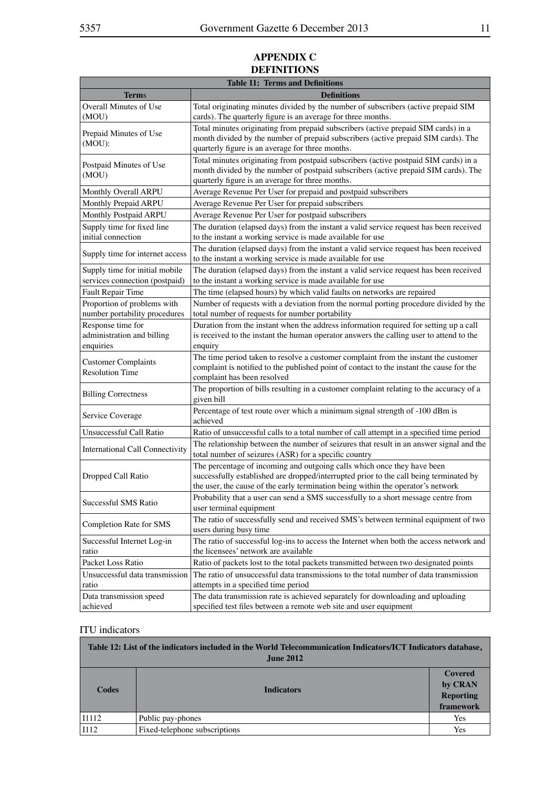## **APPENDIX C Definitions**

| <b>Table 11: Terms and Definitions</b>                           |                                                                                                                                                                                                                                                       |  |
|------------------------------------------------------------------|-------------------------------------------------------------------------------------------------------------------------------------------------------------------------------------------------------------------------------------------------------|--|
| <b>Terms</b>                                                     | <b>Definitions</b>                                                                                                                                                                                                                                    |  |
| Overall Minutes of Use<br>(MOU)                                  | Total originating minutes divided by the number of subscribers (active prepaid SIM<br>cards). The quarterly figure is an average for three months.                                                                                                    |  |
| Prepaid Minutes of Use<br>(MOU):                                 | Total minutes originating from prepaid subscribers (active prepaid SIM cards) in a<br>month divided by the number of prepaid subscribers (active prepaid SIM cards). The<br>quarterly figure is an average for three months.                          |  |
| Postpaid Minutes of Use<br>(MOU)                                 | Total minutes originating from postpaid subscribers (active postpaid SIM cards) in a<br>month divided by the number of postpaid subscribers (active prepaid SIM cards). The<br>quarterly figure is an average for three months.                       |  |
| Monthly Overall ARPU                                             | Average Revenue Per User for prepaid and postpaid subscribers                                                                                                                                                                                         |  |
| Monthly Prepaid ARPU                                             | Average Revenue Per User for prepaid subscribers                                                                                                                                                                                                      |  |
| <b>Monthly Postpaid ARPU</b>                                     | Average Revenue Per User for postpaid subscribers                                                                                                                                                                                                     |  |
| Supply time for fixed line<br>initial connection                 | The duration (elapsed days) from the instant a valid service request has been received<br>to the instant a working service is made available for use                                                                                                  |  |
| Supply time for internet access                                  | The duration (elapsed days) from the instant a valid service request has been received<br>to the instant a working service is made available for use                                                                                                  |  |
| Supply time for initial mobile<br>services connection (postpaid) | The duration (elapsed days) from the instant a valid service request has been received<br>to the instant a working service is made available for use                                                                                                  |  |
| Fault Repair Time                                                | The time (elapsed hours) by which valid faults on networks are repaired                                                                                                                                                                               |  |
| Proportion of problems with<br>number portability procedures     | Number of requests with a deviation from the normal porting procedure divided by the<br>total number of requests for number portability                                                                                                               |  |
| Response time for<br>administration and billing<br>enquiries     | Duration from the instant when the address information required for setting up a call<br>is received to the instant the human operator answers the calling user to attend to the<br>enquiry                                                           |  |
| <b>Customer Complaints</b><br><b>Resolution Time</b>             | The time period taken to resolve a customer complaint from the instant the customer<br>complaint is notified to the published point of contact to the instant the cause for the<br>complaint has been resolved                                        |  |
| <b>Billing Correctness</b>                                       | The proportion of bills resulting in a customer complaint relating to the accuracy of a<br>given bill                                                                                                                                                 |  |
| Service Coverage                                                 | Percentage of test route over which a minimum signal strength of -100 dBm is<br>achieved                                                                                                                                                              |  |
| Unsuccessful Call Ratio                                          | Ratio of unsuccessful calls to a total number of call attempt in a specified time period                                                                                                                                                              |  |
| International Call Connectivity                                  | The relationship between the number of seizures that result in an answer signal and the<br>total number of seizures (ASR) for a specific country                                                                                                      |  |
| Dropped Call Ratio                                               | The percentage of incoming and outgoing calls which once they have been<br>successfully established are dropped/interrupted prior to the call being terminated by<br>the user, the cause of the early termination being within the operator's network |  |
| Successful SMS Ratio                                             | Probability that a user can send a SMS successfully to a short message centre from<br>user terminal equipment                                                                                                                                         |  |
| Completion Rate for SMS                                          | The ratio of successfully send and received SMS's between terminal equipment of two<br>users during busy time                                                                                                                                         |  |
| Successful Internet Log-in<br>ratio                              | The ratio of successful log-ins to access the Internet when both the access network and<br>the licensees' network are available                                                                                                                       |  |
| Packet Loss Ratio                                                | Ratio of packets lost to the total packets transmitted between two designated points                                                                                                                                                                  |  |
| Unsuccessful data transmission<br>ratio                          | The ratio of unsuccessful data transmissions to the total number of data transmission<br>attempts in a specified time period                                                                                                                          |  |
| Data transmission speed<br>achieved                              | The data transmission rate is achieved separately for downloading and uploading<br>specified test files between a remote web site and user equipment                                                                                                  |  |

#### ITU indicators

| Table 12: List of the indicators included in the World Telecommunication Indicators/ICT Indicators database,<br><b>June 2012</b> |                               |                                              |
|----------------------------------------------------------------------------------------------------------------------------------|-------------------------------|----------------------------------------------|
| Codes                                                                                                                            | <b>Indicators</b>             | Covered<br>by CRAN<br>Reporting<br>framework |
| I1112                                                                                                                            | Public pay-phones             | Yes                                          |
| <b>I112</b>                                                                                                                      | Fixed-telephone subscriptions | Yes                                          |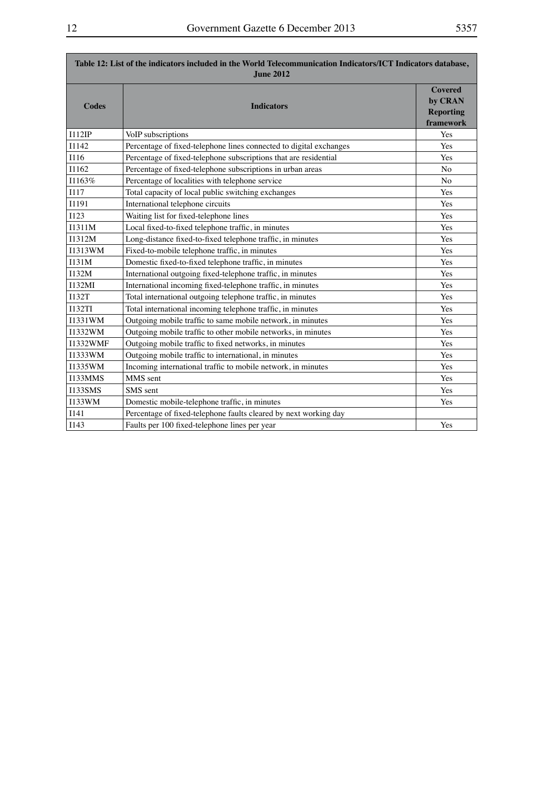<u> 1989 - Johann Barnett, mars et al. 1989 - Anna ann an t-</u>

<u> 1989 - Johann Barnett, mars eta bainar e</u>

| Table 12: List of the indicators included in the World Telecommunication Indicators/ICT Indicators database,<br><b>June 2012</b> |                                                                    |                                                            |
|----------------------------------------------------------------------------------------------------------------------------------|--------------------------------------------------------------------|------------------------------------------------------------|
| <b>Codes</b>                                                                                                                     | <b>Indicators</b>                                                  | <b>Covered</b><br>by CRAN<br><b>Reporting</b><br>framework |
| I112IP                                                                                                                           | VoIP subscriptions                                                 | Yes                                                        |
| I1142                                                                                                                            | Percentage of fixed-telephone lines connected to digital exchanges | Yes                                                        |
| I116                                                                                                                             | Percentage of fixed-telephone subscriptions that are residential   | Yes                                                        |
| I1162                                                                                                                            | Percentage of fixed-telephone subscriptions in urban areas         | N <sub>o</sub>                                             |
| I1163%                                                                                                                           | Percentage of localities with telephone service                    | N <sub>o</sub>                                             |
| <b>I117</b>                                                                                                                      | Total capacity of local public switching exchanges                 | Yes                                                        |
| I1191                                                                                                                            | International telephone circuits                                   | Yes                                                        |
| <b>I123</b>                                                                                                                      | Waiting list for fixed-telephone lines                             | Yes                                                        |
| I1311M                                                                                                                           | Local fixed-to-fixed telephone traffic, in minutes                 | Yes                                                        |
| I1312M                                                                                                                           | Long-distance fixed-to-fixed telephone traffic, in minutes         | Yes                                                        |
| I1313WM                                                                                                                          | Fixed-to-mobile telephone traffic, in minutes                      | Yes                                                        |
| I131M                                                                                                                            | Domestic fixed-to-fixed telephone traffic, in minutes              | Yes                                                        |
| I132M                                                                                                                            | International outgoing fixed-telephone traffic, in minutes         | Yes                                                        |
| I132MI                                                                                                                           | International incoming fixed-telephone traffic, in minutes         | Yes                                                        |
| I132T                                                                                                                            | Total international outgoing telephone traffic, in minutes         | Yes                                                        |
| <b>I132TI</b>                                                                                                                    | Total international incoming telephone traffic, in minutes         | Yes                                                        |
| I1331WM                                                                                                                          | Outgoing mobile traffic to same mobile network, in minutes         | Yes                                                        |
| I1332WM                                                                                                                          | Outgoing mobile traffic to other mobile networks, in minutes       | Yes                                                        |
| <b>I1332WMF</b>                                                                                                                  | Outgoing mobile traffic to fixed networks, in minutes              | Yes                                                        |
| 11333WM                                                                                                                          | Outgoing mobile traffic to international, in minutes               | Yes                                                        |
| I1335WM                                                                                                                          | Incoming international traffic to mobile network, in minutes       | Yes                                                        |
| I133MMS                                                                                                                          | MMS sent                                                           | Yes                                                        |
| <b>I133SMS</b>                                                                                                                   | SMS sent                                                           | Yes                                                        |
| I133WM                                                                                                                           | Domestic mobile-telephone traffic, in minutes                      | Yes                                                        |
| I141                                                                                                                             | Percentage of fixed-telephone faults cleared by next working day   |                                                            |
| <b>I143</b>                                                                                                                      | Faults per 100 fixed-telephone lines per year                      | Yes                                                        |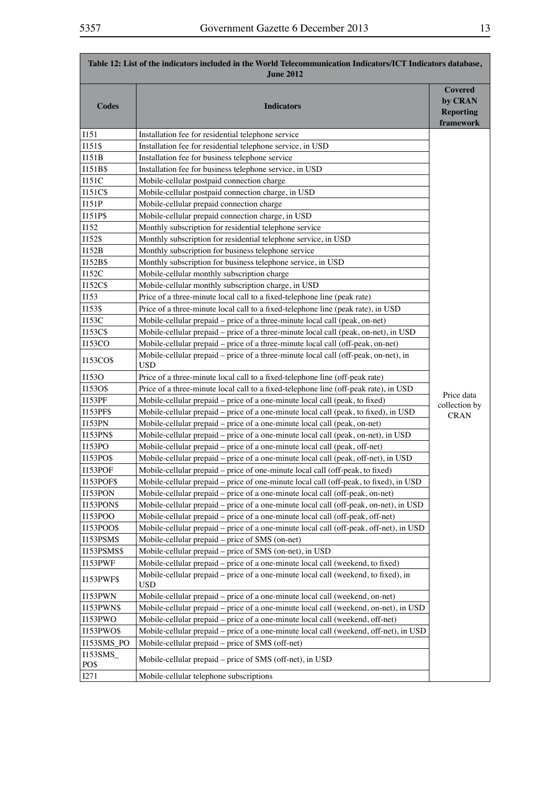| Table 12: List of the indicators included in the World Telecommunication Indicators/ICT Indicators database,<br><b>June 2012</b> |                                                                                                  |                                                            |  |
|----------------------------------------------------------------------------------------------------------------------------------|--------------------------------------------------------------------------------------------------|------------------------------------------------------------|--|
| <b>Codes</b>                                                                                                                     | <b>Indicators</b>                                                                                | <b>Covered</b><br>by CRAN<br><b>Reporting</b><br>framework |  |
| I151                                                                                                                             | Installation fee for residential telephone service                                               |                                                            |  |
| I151\$                                                                                                                           | Installation fee for residential telephone service, in USD                                       |                                                            |  |
| I151B                                                                                                                            | Installation fee for business telephone service                                                  |                                                            |  |
| I151B\$                                                                                                                          | Installation fee for business telephone service, in USD                                          |                                                            |  |
| 1151C                                                                                                                            | Mobile-cellular postpaid connection charge                                                       |                                                            |  |
| I151C\$                                                                                                                          | Mobile-cellular postpaid connection charge, in USD                                               |                                                            |  |
| I151P                                                                                                                            | Mobile-cellular prepaid connection charge                                                        |                                                            |  |
| I151P\$                                                                                                                          | Mobile-cellular prepaid connection charge, in USD                                                |                                                            |  |
| I152                                                                                                                             | Monthly subscription for residential telephone service                                           |                                                            |  |
| I152\$                                                                                                                           | Monthly subscription for residential telephone service, in USD                                   |                                                            |  |
| I152B                                                                                                                            | Monthly subscription for business telephone service                                              |                                                            |  |
| I152B\$                                                                                                                          | Monthly subscription for business telephone service, in USD                                      |                                                            |  |
| I152C                                                                                                                            | Mobile-cellular monthly subscription charge                                                      |                                                            |  |
| I152C\$                                                                                                                          | Mobile-cellular monthly subscription charge, in USD                                              |                                                            |  |
| I153                                                                                                                             | Price of a three-minute local call to a fixed-telephone line (peak rate)                         |                                                            |  |
| 1153\$                                                                                                                           | Price of a three-minute local call to a fixed-telephone line (peak rate), in USD                 |                                                            |  |
| 1153C                                                                                                                            | Mobile-cellular prepaid - price of a three-minute local call (peak, on-net)                      |                                                            |  |
| I153C\$                                                                                                                          | Mobile-cellular prepaid – price of a three-minute local call (peak, on-net), in USD              |                                                            |  |
| <b>I153CO</b>                                                                                                                    | Mobile-cellular prepaid - price of a three-minute local call (off-peak, on-net)                  |                                                            |  |
| I153CO\$                                                                                                                         | Mobile-cellular prepaid – price of a three-minute local call (off-peak, on-net), in<br>USD       |                                                            |  |
| <b>I1530</b>                                                                                                                     | Price of a three-minute local call to a fixed-telephone line (off-peak rate)                     |                                                            |  |
| I153O\$                                                                                                                          | Price of a three-minute local call to a fixed-telephone line (off-peak rate), in USD             | Price data                                                 |  |
| <b>I153PF</b>                                                                                                                    | Mobile-cellular prepaid - price of a one-minute local call (peak, to fixed)                      | collection by                                              |  |
| <b>I153PF\$</b>                                                                                                                  | Mobile-cellular prepaid - price of a one-minute local call (peak, to fixed), in USD              | <b>CRAN</b>                                                |  |
| <b>I153PN</b>                                                                                                                    | Mobile-cellular prepaid – price of a one-minute local call (peak, on-net)                        |                                                            |  |
| I153PN\$                                                                                                                         | Mobile-cellular prepaid – price of a one-minute local call (peak, on-net), in USD                |                                                            |  |
| I153PO                                                                                                                           | Mobile-cellular prepaid – price of a one-minute local call (peak, off-net)                       |                                                            |  |
| <b>I153PO\$</b>                                                                                                                  | Mobile-cellular prepaid – price of a one-minute local call (peak, off-net), in USD               |                                                            |  |
| 1153POF                                                                                                                          | Mobile-cellular prepaid - price of one-minute local call (off-peak, to fixed)                    |                                                            |  |
| <b>I153POF\$</b>                                                                                                                 | Mobile-cellular prepaid – price of one-minute local call (off-peak, to fixed), in USD            |                                                            |  |
| <b>I153PON</b>                                                                                                                   | Mobile-cellular prepaid – price of a one-minute local call (off-peak, on-net)                    |                                                            |  |
| <b>I153PON\$</b>                                                                                                                 | Mobile-cellular prepaid – price of a one-minute local call (off-peak, on-net), in USD            |                                                            |  |
| I153POO                                                                                                                          | Mobile-cellular prepaid - price of a one-minute local call (off-peak, off-net)                   |                                                            |  |
| I153POO\$                                                                                                                        | Mobile-cellular prepaid – price of a one-minute local call (off-peak, off-net), in USD           |                                                            |  |
| I153PSMS                                                                                                                         | Mobile-cellular prepaid - price of SMS (on-net)                                                  |                                                            |  |
| <b>I153PSMS\$</b>                                                                                                                | Mobile-cellular prepaid – price of SMS (on-net), in USD                                          |                                                            |  |
| <b>I153PWF</b>                                                                                                                   | Mobile-cellular prepaid - price of a one-minute local call (weekend, to fixed)                   |                                                            |  |
| <b>I153PWF\$</b>                                                                                                                 | Mobile-cellular prepaid - price of a one-minute local call (weekend, to fixed), in<br><b>USD</b> |                                                            |  |
| <b>I153PWN</b>                                                                                                                   | Mobile-cellular prepaid - price of a one-minute local call (weekend, on-net)                     |                                                            |  |
| <b>I153PWN\$</b>                                                                                                                 | Mobile-cellular prepaid – price of a one-minute local call (weekend, on-net), in USD             |                                                            |  |
| 1153PWO                                                                                                                          | Mobile-cellular prepaid - price of a one-minute local call (weekend, off-net)                    |                                                            |  |
| I153PWO\$                                                                                                                        | Mobile-cellular prepaid – price of a one-minute local call (weekend, off-net), in USD            |                                                            |  |
| I153SMS_PO                                                                                                                       | Mobile-cellular prepaid – price of SMS (off-net)                                                 |                                                            |  |
| I153SMS_<br>PO\$                                                                                                                 | Mobile-cellular prepaid – price of SMS (off-net), in USD                                         |                                                            |  |
| I271                                                                                                                             | Mobile-cellular telephone subscriptions                                                          |                                                            |  |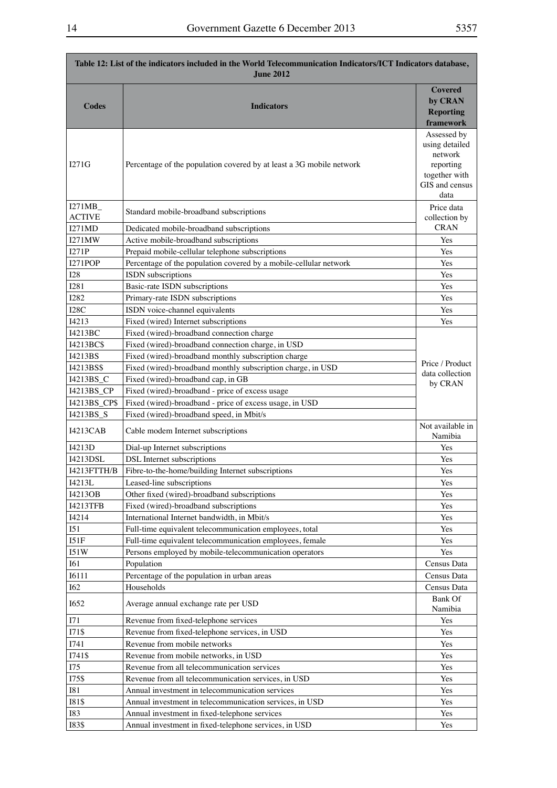| Table 12: List of the indicators included in the World Telecommunication Indicators/ICT Indicators database,<br><b>June 2012</b> |                                                                      |                                                                                                  |
|----------------------------------------------------------------------------------------------------------------------------------|----------------------------------------------------------------------|--------------------------------------------------------------------------------------------------|
| <b>Codes</b>                                                                                                                     | <b>Indicators</b>                                                    | <b>Covered</b><br>by CRAN<br><b>Reporting</b><br>framework                                       |
| I271G                                                                                                                            | Percentage of the population covered by at least a 3G mobile network | Assessed by<br>using detailed<br>network<br>reporting<br>together with<br>GIS and census<br>data |
| I271MB_<br><b>ACTIVE</b>                                                                                                         | Standard mobile-broadband subscriptions                              | Price data<br>collection by                                                                      |
| I271MD                                                                                                                           | Dedicated mobile-broadband subscriptions                             | <b>CRAN</b>                                                                                      |
| <b>I271MW</b>                                                                                                                    | Active mobile-broadband subscriptions                                | Yes                                                                                              |
| I271P                                                                                                                            | Prepaid mobile-cellular telephone subscriptions                      | Yes                                                                                              |
| <b>I271POP</b>                                                                                                                   | Percentage of the population covered by a mobile-cellular network    | Yes                                                                                              |
| <b>I28</b>                                                                                                                       | ISDN subscriptions                                                   | Yes                                                                                              |
| <b>I281</b>                                                                                                                      | Basic-rate ISDN subscriptions                                        | Yes                                                                                              |
| <b>I282</b>                                                                                                                      | Primary-rate ISDN subscriptions                                      | Yes                                                                                              |
| I28C                                                                                                                             | ISDN voice-channel equivalents                                       | Yes                                                                                              |
| I4213                                                                                                                            | Fixed (wired) Internet subscriptions                                 | Yes                                                                                              |
| I4213BC                                                                                                                          | Fixed (wired)-broadband connection charge                            |                                                                                                  |
| I4213BC\$                                                                                                                        | Fixed (wired)-broadband connection charge, in USD                    |                                                                                                  |
| I4213BS                                                                                                                          | Fixed (wired)-broadband monthly subscription charge                  | Price / Product                                                                                  |
| I4213BS\$                                                                                                                        | Fixed (wired)-broadband monthly subscription charge, in USD          | data collection                                                                                  |
| I4213BS_C                                                                                                                        | Fixed (wired)-broadband cap, in GB                                   | by CRAN                                                                                          |
| 14213BS_CP                                                                                                                       | Fixed (wired)-broadband - price of excess usage                      |                                                                                                  |
| 14213BS_CP\$                                                                                                                     | Fixed (wired)-broadband - price of excess usage, in USD              |                                                                                                  |
| 14213BS_S                                                                                                                        | Fixed (wired)-broadband speed, in Mbit/s                             |                                                                                                  |
| I4213CAB                                                                                                                         | Cable modem Internet subscriptions                                   | Not available in<br>Namibia                                                                      |
| I4213D                                                                                                                           | Dial-up Internet subscriptions                                       | Yes                                                                                              |
| I4213DSL                                                                                                                         | DSL Internet subscriptions                                           | Yes                                                                                              |
| I4213FTTH/B                                                                                                                      | Fibre-to-the-home/building Internet subscriptions                    | Yes                                                                                              |
| I4213L                                                                                                                           | Leased-line subscriptions                                            | Yes                                                                                              |
| I4213OB                                                                                                                          | Other fixed (wired)-broadband subscriptions                          | Yes                                                                                              |
| <b>I4213TFB</b>                                                                                                                  | Fixed (wired)-broadband subscriptions                                | Yes                                                                                              |
| I4214                                                                                                                            | International Internet bandwidth, in Mbit/s                          | Yes                                                                                              |
| <b>I51</b>                                                                                                                       | Full-time equivalent telecommunication employees, total              | Yes                                                                                              |
| I51F                                                                                                                             | Full-time equivalent telecommunication employees, female             | Yes<br>Yes                                                                                       |
| 151W<br><b>I61</b>                                                                                                               | Persons employed by mobile-telecommunication operators<br>Population | Census Data                                                                                      |
| <b>I6111</b>                                                                                                                     | Percentage of the population in urban areas                          | Census Data                                                                                      |
| <b>I62</b>                                                                                                                       | Households                                                           | Census Data                                                                                      |
| <b>I652</b>                                                                                                                      | Average annual exchange rate per USD                                 | <b>Bank Of</b><br>Namibia                                                                        |
| I71                                                                                                                              | Revenue from fixed-telephone services                                | Yes                                                                                              |
| I71\$                                                                                                                            | Revenue from fixed-telephone services, in USD                        | Yes                                                                                              |
| I741                                                                                                                             | Revenue from mobile networks                                         | Yes                                                                                              |
| I741\$                                                                                                                           | Revenue from mobile networks, in USD                                 | Yes                                                                                              |
| I75                                                                                                                              | Revenue from all telecommunication services                          | Yes                                                                                              |
| I75\$                                                                                                                            | Revenue from all telecommunication services, in USD                  | Yes                                                                                              |
| <b>I81</b>                                                                                                                       | Annual investment in telecommunication services                      | Yes                                                                                              |
| <b>I81\$</b>                                                                                                                     | Annual investment in telecommunication services, in USD              | Yes                                                                                              |
| <b>I83</b>                                                                                                                       | Annual investment in fixed-telephone services                        | Yes                                                                                              |
| <b>I83\$</b>                                                                                                                     | Annual investment in fixed-telephone services, in USD                | Yes                                                                                              |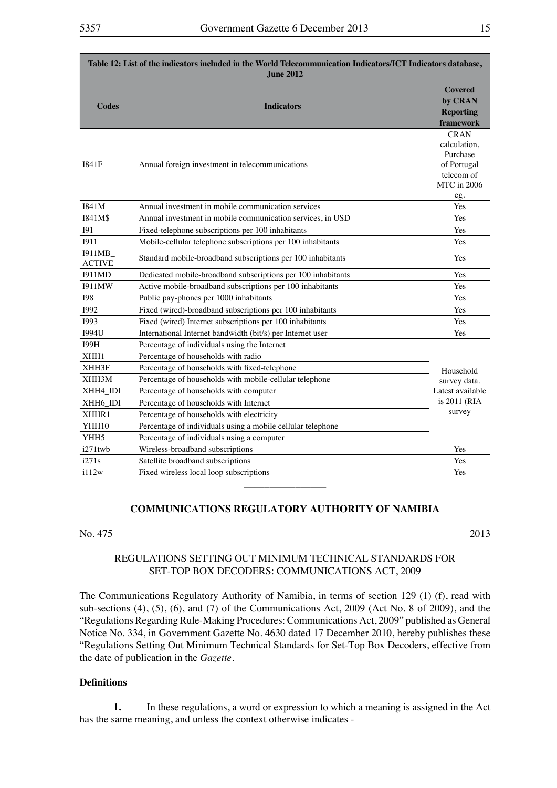| Table 12: List of the indicators included in the World Telecommunication Indicators/ICT Indicators database,<br><b>June 2012</b> |                                                              |                                                                                                   |
|----------------------------------------------------------------------------------------------------------------------------------|--------------------------------------------------------------|---------------------------------------------------------------------------------------------------|
| <b>Codes</b>                                                                                                                     | <b>Indicators</b>                                            | <b>Covered</b><br>by CRAN<br><b>Reporting</b><br>framework                                        |
| 1841F                                                                                                                            | Annual foreign investment in telecommunications              | <b>CRAN</b><br>calculation,<br>Purchase<br>of Portugal<br>telecom of<br><b>MTC</b> in 2006<br>eg. |
| I841M                                                                                                                            | Annual investment in mobile communication services           | Yes                                                                                               |
| I841M\$                                                                                                                          | Annual investment in mobile communication services, in USD   | Yes                                                                                               |
| <b>I91</b>                                                                                                                       | Fixed-telephone subscriptions per 100 inhabitants            | Yes                                                                                               |
| <b>I911</b>                                                                                                                      | Mobile-cellular telephone subscriptions per 100 inhabitants  | Yes                                                                                               |
| 1911MB_<br><b>ACTIVE</b>                                                                                                         | Standard mobile-broadband subscriptions per 100 inhabitants  | Yes                                                                                               |
| <b>I911MD</b>                                                                                                                    | Dedicated mobile-broadband subscriptions per 100 inhabitants | Yes                                                                                               |
| <b>I911MW</b>                                                                                                                    | Active mobile-broadband subscriptions per 100 inhabitants    | Yes                                                                                               |
| <b>I98</b>                                                                                                                       | Public pay-phones per 1000 inhabitants                       | Yes                                                                                               |
| 1992                                                                                                                             | Fixed (wired)-broadband subscriptions per 100 inhabitants    | Yes                                                                                               |
| 1993                                                                                                                             | Fixed (wired) Internet subscriptions per 100 inhabitants     | Yes                                                                                               |
| <b>I994U</b>                                                                                                                     | International Internet bandwidth (bit/s) per Internet user   | Yes                                                                                               |
| <b>I99H</b>                                                                                                                      | Percentage of individuals using the Internet                 |                                                                                                   |
| XHH1                                                                                                                             | Percentage of households with radio                          |                                                                                                   |
| XHH3F                                                                                                                            | Percentage of households with fixed-telephone                | Household                                                                                         |
| XHH3M                                                                                                                            | Percentage of households with mobile-cellular telephone      | survey data.                                                                                      |
| XHH4_IDI                                                                                                                         | Percentage of households with computer                       | Latest available                                                                                  |
| XHH6_IDI                                                                                                                         | Percentage of households with Internet                       | is 2011 (RIA                                                                                      |
| XHHR1                                                                                                                            | Percentage of households with electricity                    | survey                                                                                            |
| YHH10                                                                                                                            | Percentage of individuals using a mobile cellular telephone  |                                                                                                   |
| YHH5                                                                                                                             | Percentage of individuals using a computer                   |                                                                                                   |
| $i271$ twb                                                                                                                       | Wireless-broadband subscriptions                             | Yes                                                                                               |
| i271s                                                                                                                            | Satellite broadband subscriptions                            | Yes                                                                                               |
| i112w                                                                                                                            | Fixed wireless local loop subscriptions                      | Yes                                                                                               |

## **COMMUNICATIONS REGULATORY AUTHORITY OF NAMIBIA**

## $\text{No. } 475$  2013

## REGULATIONS SETTING OUT MINIMUM TECHNICAL STANDARDS FOR SET-TOP BOX DECODERS: COMMUNICATIONS ACT, 2009

The Communications Regulatory Authority of Namibia, in terms of section 129 (1) (f), read with sub-sections (4), (5), (6), and (7) of the Communications Act, 2009 (Act No. 8 of 2009), and the "Regulations Regarding Rule-Making Procedures: Communications Act, 2009" published as General Notice No. 334, in Government Gazette No. 4630 dated 17 December 2010, hereby publishes these "Regulations Setting Out Minimum Technical Standards for Set-Top Box Decoders, effective from the date of publication in the *Gazette*.

#### **Definitions**

**1.** In these regulations, a word or expression to which a meaning is assigned in the Act has the same meaning, and unless the context otherwise indicates -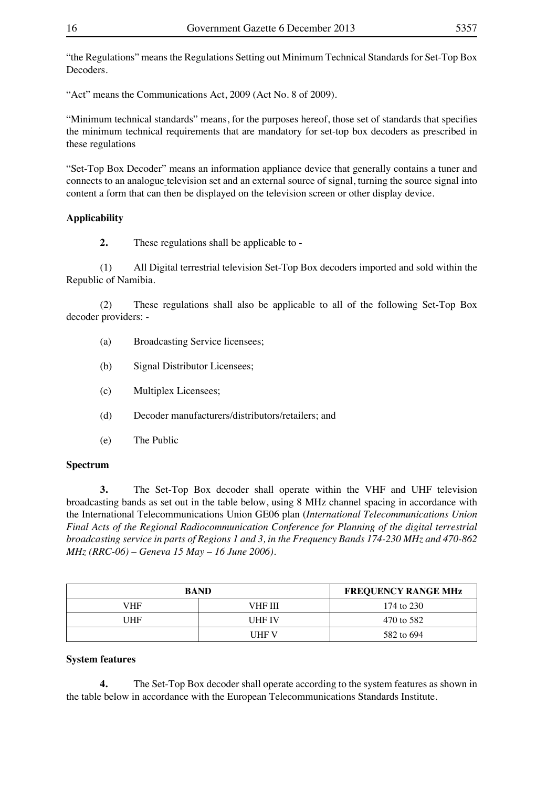"the Regulations" means the Regulations Setting out Minimum Technical Standards for Set-Top Box Decoders.

"Act" means the Communications Act, 2009 (Act No. 8 of 2009).

"Minimum technical standards" means, for the purposes hereof, those set of standards that specifies the minimum technical requirements that are mandatory for set-top box decoders as prescribed in these regulations

"Set-Top Box Decoder" means an information appliance device that generally contains a tuner and connects to an analogue television set and an external source of signal, turning the source signal into content a form that can then be displayed on the television screen or other display device.

## **Applicability**

**2.** These regulations shall be applicable to -

 (1) All Digital terrestrial television Set-Top Box decoders imported and sold within the Republic of Namibia.

 (2) These regulations shall also be applicable to all of the following Set-Top Box decoder providers: -

- (a) Broadcasting Service licensees;
- (b) Signal Distributor Licensees;
- (c) Multiplex Licensees;
- (d) Decoder manufacturers/distributors/retailers; and
- (e) The Public

## **Spectrum**

**3.** The Set-Top Box decoder shall operate within the VHF and UHF television broadcasting bands as set out in the table below, using 8 MHz channel spacing in accordance with the International Telecommunications Union GE06 plan (*International Telecommunications Union Final Acts of the Regional Radiocommunication Conference for Planning of the digital terrestrial broadcasting service in parts of Regions 1 and 3, in the Frequency Bands 174-230 MHz and 470-862 MHz (RRC-06) – Geneva 15 May – 16 June 2006).*

| <b>BAND</b> |               | <b>FREQUENCY RANGE MHz</b> |
|-------------|---------------|----------------------------|
| VHF         | VHF III       | 174 to 230                 |
| UHF         | <b>UHF IV</b> | 470 to 582                 |
|             | <b>UHF V</b>  | 582 to 694                 |

## **System features**

**4.** The Set-Top Box decoder shall operate according to the system features as shown in the table below in accordance with the European Telecommunications Standards Institute.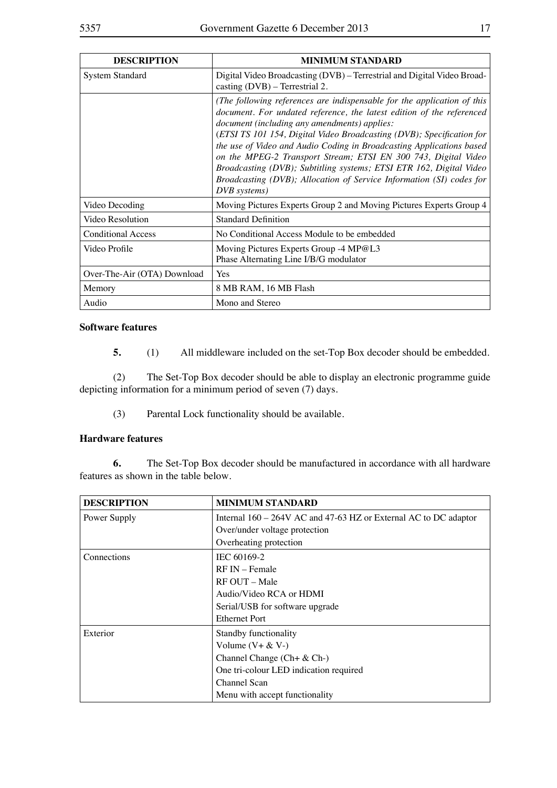| <b>DESCRIPTION</b>          | <b>MINIMUM STANDARD</b>                                                                                                                                                                                                                                                                                                                                                                                                                                                                                                                                                            |
|-----------------------------|------------------------------------------------------------------------------------------------------------------------------------------------------------------------------------------------------------------------------------------------------------------------------------------------------------------------------------------------------------------------------------------------------------------------------------------------------------------------------------------------------------------------------------------------------------------------------------|
| <b>System Standard</b>      | Digital Video Broadcasting (DVB) – Terrestrial and Digital Video Broad-<br>casting $(DVB)$ – Terrestrial 2.                                                                                                                                                                                                                                                                                                                                                                                                                                                                        |
|                             | (The following references are indispensable for the application of this<br>document. For undated reference, the latest edition of the referenced<br>document (including any amendments) applies:<br>(ETSI TS 101 154, Digital Video Broadcasting (DVB); Specification for<br>the use of Video and Audio Coding in Broadcasting Applications based<br>on the MPEG-2 Transport Stream; ETSI EN 300 743, Digital Video<br>Broadcasting (DVB); Subtitling systems; ETSI ETR 162, Digital Video<br>Broadcasting (DVB); Allocation of Service Information (SI) codes for<br>DVB systems) |
| Video Decoding              | Moving Pictures Experts Group 2 and Moving Pictures Experts Group 4                                                                                                                                                                                                                                                                                                                                                                                                                                                                                                                |
| Video Resolution            | <b>Standard Definition</b>                                                                                                                                                                                                                                                                                                                                                                                                                                                                                                                                                         |
| <b>Conditional Access</b>   | No Conditional Access Module to be embedded                                                                                                                                                                                                                                                                                                                                                                                                                                                                                                                                        |
| Video Profile               | Moving Pictures Experts Group -4 MP@L3<br>Phase Alternating Line I/B/G modulator                                                                                                                                                                                                                                                                                                                                                                                                                                                                                                   |
| Over-The-Air (OTA) Download | Yes                                                                                                                                                                                                                                                                                                                                                                                                                                                                                                                                                                                |
| Memory                      | 8 MB RAM, 16 MB Flash                                                                                                                                                                                                                                                                                                                                                                                                                                                                                                                                                              |
| Audio                       | Mono and Stereo                                                                                                                                                                                                                                                                                                                                                                                                                                                                                                                                                                    |

## **Software features**

**5.** (1) All middleware included on the set-Top Box decoder should be embedded.

 (2) The Set-Top Box decoder should be able to display an electronic programme guide depicting information for a minimum period of seven (7) days.

(3) Parental Lock functionality should be available.

## **Hardware features**

**6.** The Set-Top Box decoder should be manufactured in accordance with all hardware features as shown in the table below.

| <b>DESCRIPTION</b> | <b>MINIMUM STANDARD</b>                                            |
|--------------------|--------------------------------------------------------------------|
| Power Supply       | Internal $160 - 264V$ AC and 47-63 HZ or External AC to DC adaptor |
|                    | Over/under voltage protection                                      |
|                    | Overheating protection                                             |
| Connections        | IEC 60169-2                                                        |
|                    | $RFIN - Female$                                                    |
|                    | $RF OUT - Male$                                                    |
|                    | Audio/Video RCA or HDMI                                            |
|                    | Serial/USB for software upgrade                                    |
|                    | <b>Ethernet Port</b>                                               |
| Exterior           | Standby functionality                                              |
|                    | Volume $(V + \& V -)$                                              |
|                    | Channel Change $(Ch + \& Ch-)$                                     |
|                    | One tri-colour LED indication required                             |
|                    | Channel Scan                                                       |
|                    | Menu with accept functionality                                     |